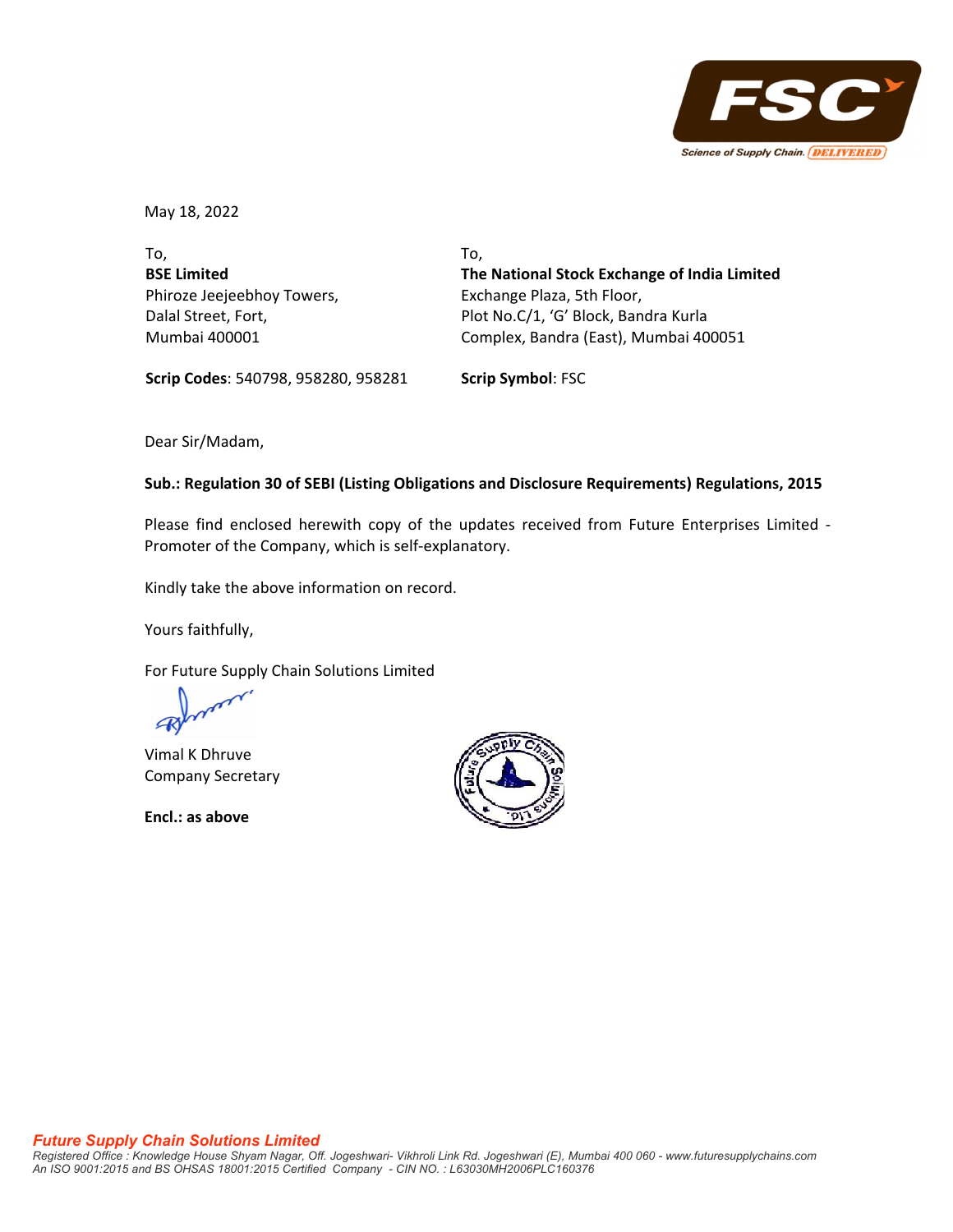

May 18, 2022

To, **BSE Limited** Phiroze Jeejeebhoy Towers, Dalal Street, Fort, Mumbai 400001

To, **The National Stock Exchange of India Limited** Exchange Plaza, 5th Floor, Plot No.C/1, 'G' Block, Bandra Kurla Complex, Bandra (East), Mumbai 400051

**Scrip Codes**: 540798, 958280, 958281 **Scrip Symbol**: FSC

Dear Sir/Madam,

## **Sub.: Regulation 30 of SEBI (Listing Obligations and Disclosure Requirements) Regulations, 2015**

Please find enclosed herewith copy of the updates received from Future Enterprises Limited ‐ Promoter of the Company, which is self‐explanatory.

Kindly take the above information on record.

Yours faithfully,

For Future Supply Chain Solutions Limited

Vimal K Dhruve Company Secretary

**Encl.: as above**

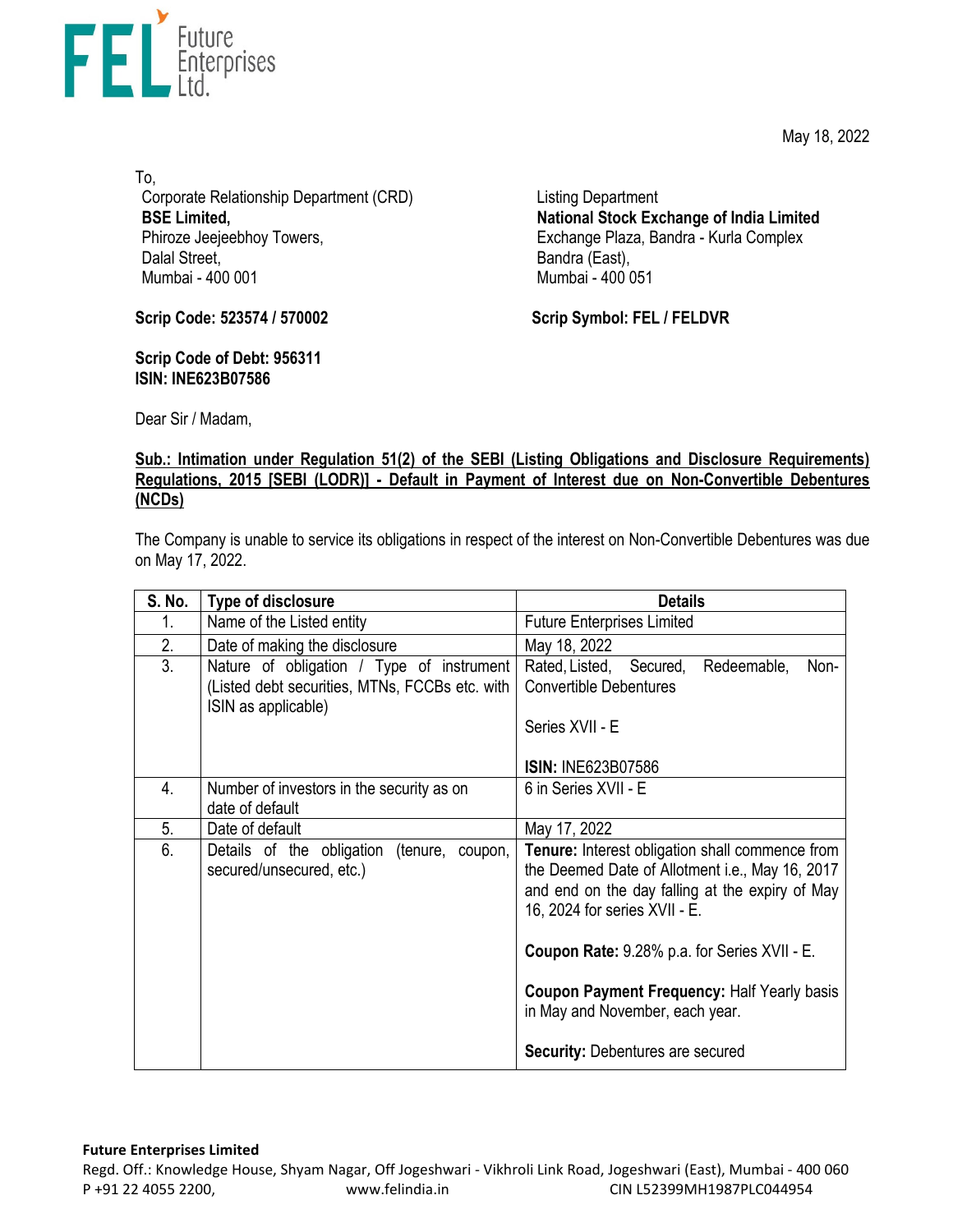May 18, 2022



To, Corporate Relationship Department (CRD) **BSE Limited,**  Phiroze Jeejeebhoy Towers, Dalal Street, Mumbai - 400 001

Listing Department **National Stock Exchange of India Limited**  Exchange Plaza, Bandra - Kurla Complex Bandra (East), Mumbai - 400 051

**Scrip Code: 523574 / 570002**

**Scrip Code of Debt: 956311 ISIN: INE623B07586** 

**Scrip Symbol: FEL / FELDVR**

Dear Sir / Madam,

## **Sub.: Intimation under Regulation 51(2) of the SEBI (Listing Obligations and Disclosure Requirements) Regulations, 2015 [SEBI (LODR)] - Default in Payment of Interest due on Non-Convertible Debentures (NCDs)**

The Company is unable to service its obligations in respect of the interest on Non-Convertible Debentures was due on May 17, 2022.

| S. No. | Type of disclosure                                                                                                 | <b>Details</b>                                                                                                                                                                         |
|--------|--------------------------------------------------------------------------------------------------------------------|----------------------------------------------------------------------------------------------------------------------------------------------------------------------------------------|
| 1.     | Name of the Listed entity                                                                                          | <b>Future Enterprises Limited</b>                                                                                                                                                      |
| 2.     | Date of making the disclosure                                                                                      | May 18, 2022                                                                                                                                                                           |
| 3.     | Nature of obligation / Type of instrument<br>(Listed debt securities, MTNs, FCCBs etc. with<br>ISIN as applicable) | Rated, Listed, Secured,<br>Redeemable,<br>Non-<br><b>Convertible Debentures</b>                                                                                                        |
|        |                                                                                                                    | Series XVII - E<br><b>ISIN: INE623B07586</b>                                                                                                                                           |
| 4.     | Number of investors in the security as on<br>date of default                                                       | 6 in Series XVII - E                                                                                                                                                                   |
| 5.     | Date of default                                                                                                    | May 17, 2022                                                                                                                                                                           |
| 6.     | Details of the obligation<br>(tenure, coupon,<br>secured/unsecured, etc.)                                          | Tenure: Interest obligation shall commence from<br>the Deemed Date of Allotment i.e., May 16, 2017<br>and end on the day falling at the expiry of May<br>16, 2024 for series XVII - E. |
|        |                                                                                                                    | Coupon Rate: 9.28% p.a. for Series XVII - E.                                                                                                                                           |
|        |                                                                                                                    | <b>Coupon Payment Frequency: Half Yearly basis</b><br>in May and November, each year.                                                                                                  |
|        |                                                                                                                    | <b>Security: Debentures are secured</b>                                                                                                                                                |